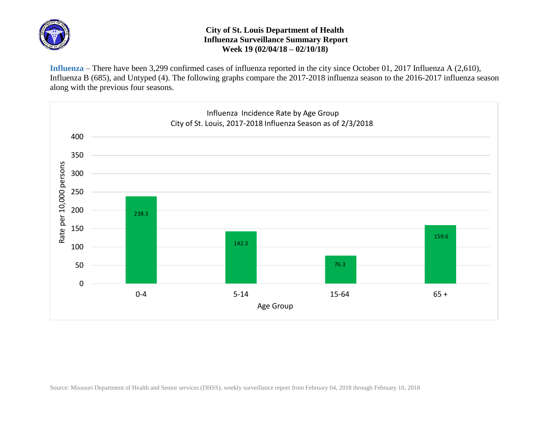

## **City of St. Louis Department of Health Influenza Surveillance Summary Report Week 19 (02/04/18 – 02/10/18)**

**Influenza** – There have been 3,299 confirmed cases of influenza reported in the city since October 01, 2017 Influenza A (2,610), Influenza B (685), and Untyped (4). The following graphs compare the 2017-2018 influenza season to the 2016-2017 influenza season along with the previous four seasons.